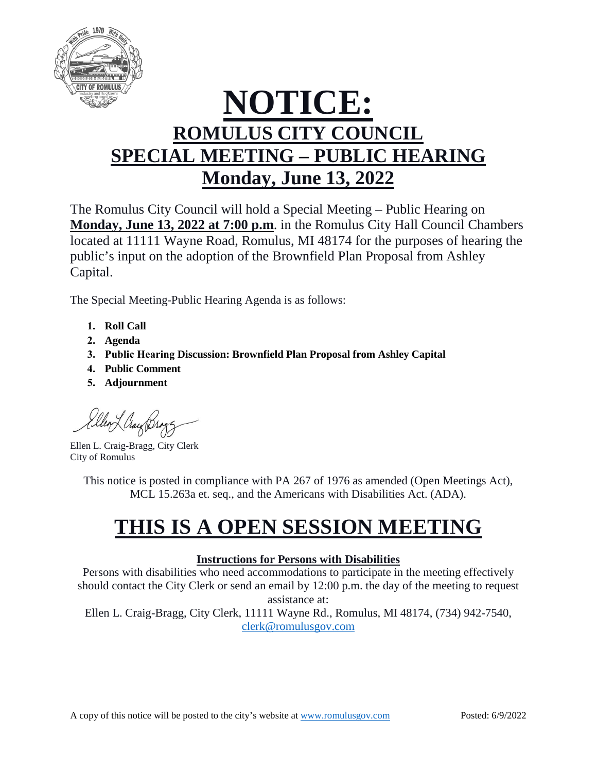

# **NOTICE: ROMULUS CITY COUNCIL SPECIAL MEETING – PUBLIC HEARING Monday, June 13, 2022**

The Romulus City Council will hold a Special Meeting – Public Hearing on **Monday, June 13, 2022 at 7:00 p.m**. in the Romulus City Hall Council Chambers located at 11111 Wayne Road, Romulus, MI 48174 for the purposes of hearing the public's input on the adoption of the Brownfield Plan Proposal from Ashley Capital.

The Special Meeting-Public Hearing Agenda is as follows:

- **1. Roll Call**
- **2. Agenda**
- **3. Public Hearing Discussion: Brownfield Plan Proposal from Ashley Capital**
- **4. Public Comment**
- **5. Adjournment**

Ellen Ling Brog

Ellen L. Craig-Bragg, City Clerk City of Romulus

This notice is posted in compliance with PA 267 of 1976 as amended (Open Meetings Act), MCL 15.263a et. seq., and the Americans with Disabilities Act. (ADA).

## **THIS IS A OPEN SESSION MEETING**

### **Instructions for Persons with Disabilities**

Persons with disabilities who need accommodations to participate in the meeting effectively should contact the City Clerk or send an email by 12:00 p.m. the day of the meeting to request assistance at:

Ellen L. Craig-Bragg, City Clerk, 11111 Wayne Rd., Romulus, MI 48174, (734) 942-7540, [clerk@romulusgov.com](mailto:clerk@romulusgov.com)